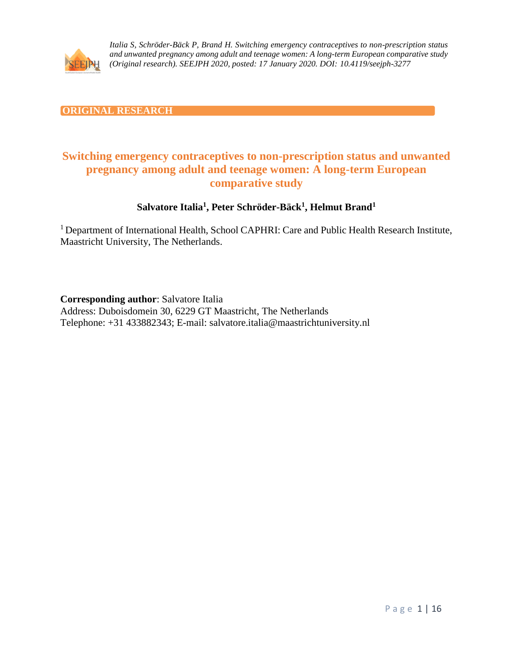

### **ORIGINAL RESEARCH**

# **Switching emergency contraceptives to non-prescription status and unwanted pregnancy among adult and teenage women: A long-term European comparative study**

### **Salvatore Italia<sup>1</sup> , Peter Schröder-Bäck<sup>1</sup> , Helmut Brand<sup>1</sup>**

<sup>1</sup> Department of International Health, School CAPHRI: Care and Public Health Research Institute, Maastricht University, The Netherlands.

**Corresponding author**: Salvatore Italia

Address: Duboisdomein 30, 6229 GT Maastricht, The Netherlands Telephone: +31 433882343; E-mail: salvatore.italia@maastrichtuniversity.nl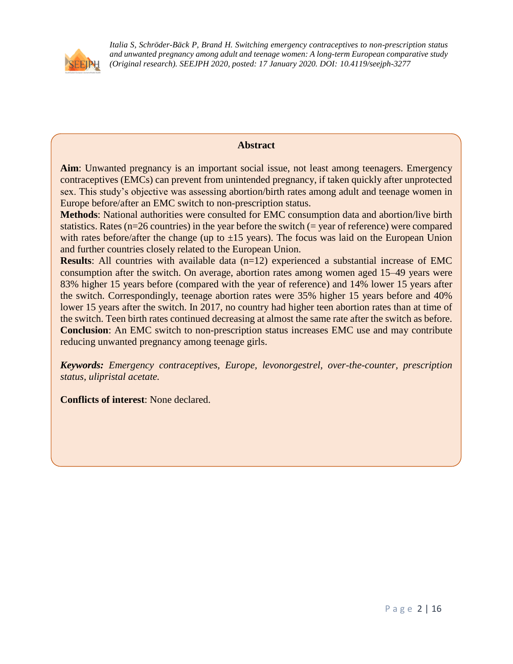

### **Abstract**

**Aim**: Unwanted pregnancy is an important social issue, not least among teenagers. Emergency contraceptives (EMCs) can prevent from unintended pregnancy, if taken quickly after unprotected sex. This study's objective was assessing abortion/birth rates among adult and teenage women in Europe before/after an EMC switch to non-prescription status.

**Methods**: National authorities were consulted for EMC consumption data and abortion/live birth statistics. Rates (n=26 countries) in the year before the switch (= year of reference) were compared with rates before/after the change (up to  $\pm 15$  years). The focus was laid on the European Union and further countries closely related to the European Union.

**Results**: All countries with available data (n=12) experienced a substantial increase of EMC consumption after the switch. On average, abortion rates among women aged 15–49 years were 83% higher 15 years before (compared with the year of reference) and 14% lower 15 years after the switch. Correspondingly, teenage abortion rates were 35% higher 15 years before and 40% lower 15 years after the switch. In 2017, no country had higher teen abortion rates than at time of the switch. Teen birth rates continued decreasing at almost the same rate after the switch as before. **Conclusion**: An EMC switch to non-prescription status increases EMC use and may contribute reducing unwanted pregnancy among teenage girls.

*Keywords: Emergency contraceptives, Europe, levonorgestrel, over-the-counter, prescription status, ulipristal acetate.*

**Conflicts of interest**: None declared.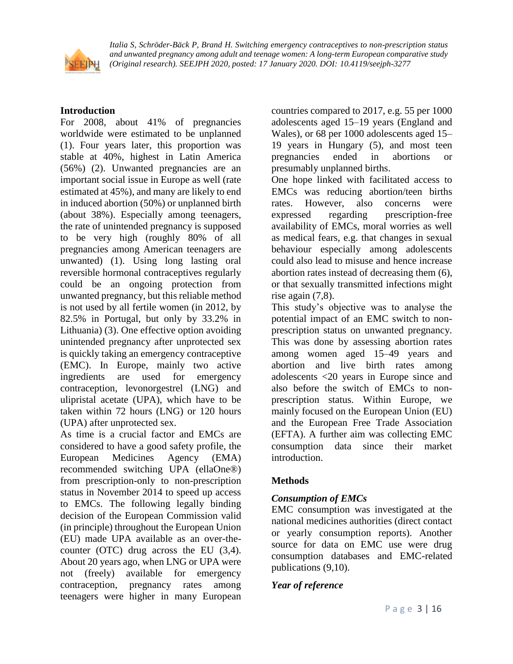

### **Introduction**

For 2008, about 41% of pregnancies worldwide were estimated to be unplanned (1). Four years later, this proportion was stable at 40%, highest in Latin America (56%) (2). Unwanted pregnancies are an important social issue in Europe as well (rate estimated at 45%), and many are likely to end in induced abortion (50%) or unplanned birth (about 38%). Especially among teenagers, the rate of unintended pregnancy is supposed to be very high (roughly 80% of all pregnancies among American teenagers are unwanted) (1). Using long lasting oral reversible hormonal contraceptives regularly could be an ongoing protection from unwanted pregnancy, but this reliable method is not used by all fertile women (in 2012, by 82.5% in Portugal, but only by 33.2% in Lithuania) (3). One effective option avoiding unintended pregnancy after unprotected sex is quickly taking an emergency contraceptive (EMC). In Europe, mainly two active ingredients are used for emergency contraception, levonorgestrel (LNG) and ulipristal acetate (UPA), which have to be taken within 72 hours (LNG) or 120 hours (UPA) after unprotected sex.

As time is a crucial factor and EMCs are considered to have a good safety profile, the European Medicines Agency (EMA) recommended switching UPA (ellaOne®) from prescription-only to non-prescription status in November 2014 to speed up access to EMCs. The following legally binding decision of the European Commission valid (in principle) throughout the European Union (EU) made UPA available as an over-thecounter (OTC) drug across the EU (3,4). About 20 years ago, when LNG or UPA were not (freely) available for emergency contraception, pregnancy rates among teenagers were higher in many European countries compared to 2017, e.g. 55 per 1000 adolescents aged 15–19 years (England and Wales), or 68 per 1000 adolescents aged 15– 19 years in Hungary (5), and most teen pregnancies ended in abortions or presumably unplanned births.

One hope linked with facilitated access to EMCs was reducing abortion/teen births rates. However, also concerns were expressed regarding prescription-free availability of EMCs, moral worries as well as medical fears, e.g. that changes in sexual behaviour especially among adolescents could also lead to misuse and hence increase abortion rates instead of decreasing them (6), or that sexually transmitted infections might rise again (7,8).

This study's objective was to analyse the potential impact of an EMC switch to nonprescription status on unwanted pregnancy. This was done by assessing abortion rates among women aged 15–49 years and abortion and live birth rates among adolescents <20 years in Europe since and also before the switch of EMCs to nonprescription status. Within Europe, we mainly focused on the European Union (EU) and the European Free Trade Association (EFTA). A further aim was collecting EMC consumption data since their market introduction.

### **Methods**

# *Consumption of EMCs*

EMC consumption was investigated at the national medicines authorities (direct contact or yearly consumption reports). Another source for data on EMC use were drug consumption databases and EMC-related publications (9,10).

### *Year of reference*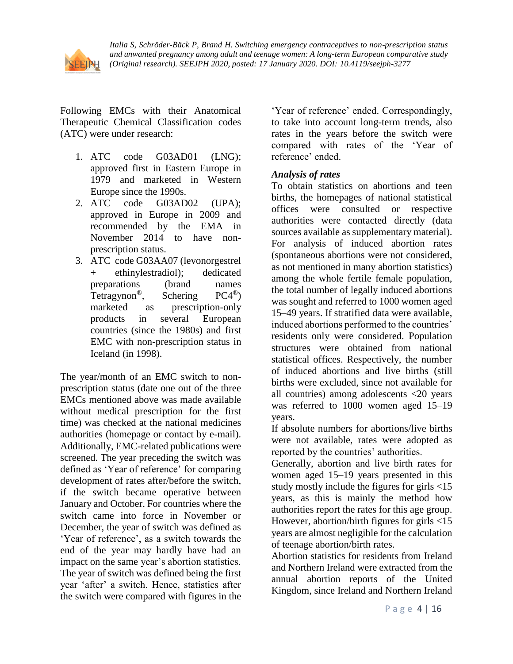

Following EMCs with their Anatomical Therapeutic Chemical Classification codes (ATC) were under research:

- 1. ATC code G03AD01 (LNG); approved first in Eastern Europe in 1979 and marketed in Western Europe since the 1990s.
- 2. ATC code G03AD02 (UPA); approved in Europe in 2009 and recommended by the EMA in November 2014 to have nonprescription status.
- 3. ATC code G03AA07 (levonorgestrel + ethinylestradiol); dedicated preparations (brand names Tetragynon<sup>®</sup>, Schering PC4<sup>®</sup>) marketed as prescription-only products in several European countries (since the 1980s) and first EMC with non-prescription status in Iceland (in 1998).

The year/month of an EMC switch to nonprescription status (date one out of the three EMCs mentioned above was made available without medical prescription for the first time) was checked at the national medicines authorities (homepage or contact by e-mail). Additionally, EMC-related publications were screened. The year preceding the switch was defined as 'Year of reference' for comparing development of rates after/before the switch, if the switch became operative between January and October. For countries where the switch came into force in November or December, the year of switch was defined as 'Year of reference', as a switch towards the end of the year may hardly have had an impact on the same year's abortion statistics. The year of switch was defined being the first year 'after' a switch. Hence, statistics after the switch were compared with figures in the

'Year of reference' ended. Correspondingly, to take into account long-term trends, also rates in the years before the switch were compared with rates of the 'Year of reference' ended.

### *Analysis of rates*

To obtain statistics on abortions and teen births, the homepages of national statistical offices were consulted or respective authorities were contacted directly (data sources available as supplementary material). For analysis of induced abortion rates (spontaneous abortions were not considered, as not mentioned in many abortion statistics) among the whole fertile female population, the total number of legally induced abortions was sought and referred to 1000 women aged 15–49 years. If stratified data were available, induced abortions performed to the countries' residents only were considered. Population structures were obtained from national statistical offices. Respectively, the number of induced abortions and live births (still births were excluded, since not available for all countries) among adolescents <20 years was referred to 1000 women aged 15–19 years.

If absolute numbers for abortions/live births were not available, rates were adopted as reported by the countries' authorities.

Generally, abortion and live birth rates for women aged 15–19 years presented in this study mostly include the figures for girls <15 years, as this is mainly the method how authorities report the rates for this age group. However, abortion/birth figures for girls <15 years are almost negligible for the calculation of teenage abortion/birth rates.

Abortion statistics for residents from Ireland and Northern Ireland were extracted from the annual abortion reports of the United Kingdom, since Ireland and Northern Ireland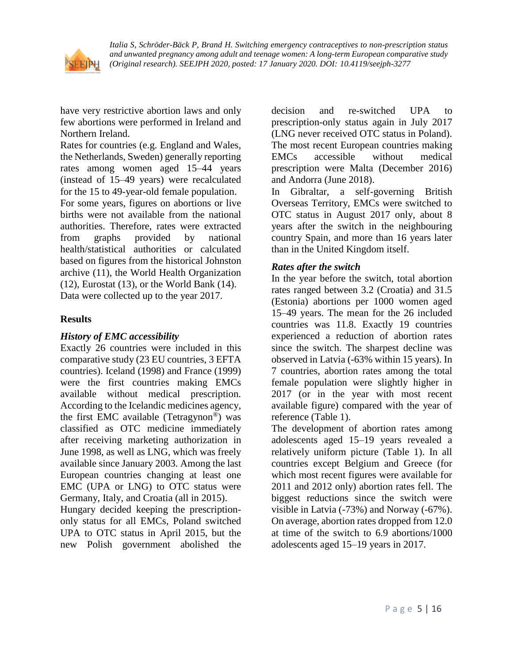

have very restrictive abortion laws and only few abortions were performed in Ireland and Northern Ireland.

Rates for countries (e.g. England and Wales, the Netherlands, Sweden) generally reporting rates among women aged 15–44 years (instead of 15–49 years) were recalculated for the 15 to 49-year-old female population. For some years, figures on abortions or live

births were not available from the national authorities. Therefore, rates were extracted from graphs provided by national health/statistical authorities or calculated based on figures from the historical Johnston archive (11), the World Health Organization (12), Eurostat (13), or the World Bank (14). Data were collected up to the year 2017.

### **Results**

### *History of EMC accessibility*

Exactly 26 countries were included in this comparative study (23 EU countries, 3 EFTA countries). Iceland (1998) and France (1999) were the first countries making EMCs available without medical prescription. According to the Icelandic medicines agency, the first EMC available (Tetragynon®) was classified as OTC medicine immediately after receiving marketing authorization in June 1998, as well as LNG, which was freely available since January 2003. Among the last European countries changing at least one EMC (UPA or LNG) to OTC status were Germany, Italy, and Croatia (all in 2015).

Hungary decided keeping the prescriptiononly status for all EMCs, Poland switched UPA to OTC status in April 2015, but the new Polish government abolished the decision and re-switched UPA to prescription-only status again in July 2017 (LNG never received OTC status in Poland). The most recent European countries making EMCs accessible without medical prescription were Malta (December 2016) and Andorra (June 2018).

In Gibraltar, a self-governing British Overseas Territory, EMCs were switched to OTC status in August 2017 only, about 8 years after the switch in the neighbouring country Spain, and more than 16 years later than in the United Kingdom itself.

### *Rates after the switch*

In the year before the switch, total abortion rates ranged between 3.2 (Croatia) and 31.5 (Estonia) abortions per 1000 women aged 15–49 years. The mean for the 26 included countries was 11.8. Exactly 19 countries experienced a reduction of abortion rates since the switch. The sharpest decline was observed in Latvia (-63% within 15 years). In 7 countries, abortion rates among the total female population were slightly higher in 2017 (or in the year with most recent available figure) compared with the year of reference (Table 1).

The development of abortion rates among adolescents aged 15–19 years revealed a relatively uniform picture (Table 1). In all countries except Belgium and Greece (for which most recent figures were available for 2011 and 2012 only) abortion rates fell. The biggest reductions since the switch were visible in Latvia (-73%) and Norway (-67%). On average, abortion rates dropped from 12.0 at time of the switch to 6.9 abortions/1000 adolescents aged 15–19 years in 2017.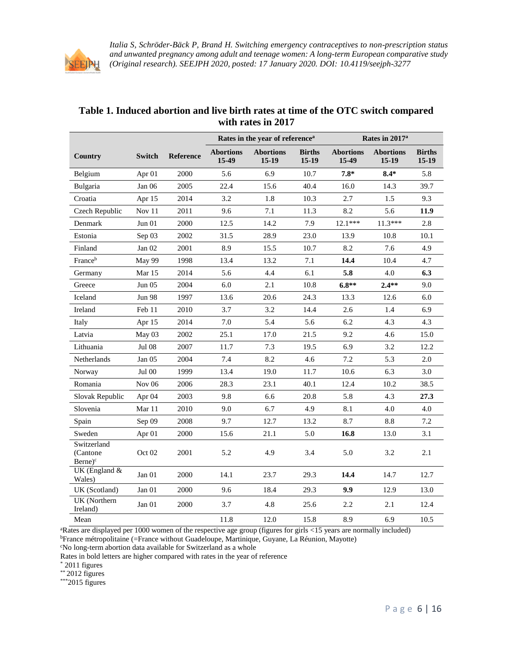

|                                                  |               |           | Rates in the year of reference <sup>a</sup> |                             |                          | Rates in 2017 <sup>a</sup> |                             |                          |  |
|--------------------------------------------------|---------------|-----------|---------------------------------------------|-----------------------------|--------------------------|----------------------------|-----------------------------|--------------------------|--|
| Country                                          | <b>Switch</b> | Reference | <b>Abortions</b><br>15-49                   | <b>Abortions</b><br>$15-19$ | <b>Births</b><br>$15-19$ | <b>Abortions</b><br>15-49  | <b>Abortions</b><br>$15-19$ | <b>Births</b><br>$15-19$ |  |
| Belgium                                          | Apr 01        | 2000      | 5.6                                         | 6.9                         | 10.7                     | $7.8*$                     | $8.4*$                      | 5.8                      |  |
| Bulgaria                                         | Jan 06        | 2005      | 22.4                                        | 15.6                        | 40.4                     | 16.0                       | 14.3                        | 39.7                     |  |
| Croatia                                          | Apr 15        | 2014      | 3.2                                         | 1.8                         | 10.3                     | 2.7                        | 1.5                         | 9.3                      |  |
| Czech Republic                                   | Nov 11        | 2011      | 9.6                                         | 7.1                         | 11.3                     | 8.2                        | 5.6                         | 11.9                     |  |
| Denmark                                          | Jun 01        | 2000      | 12.5                                        | 14.2                        | 7.9                      | $12.1***$                  | $11.3***$                   | 2.8                      |  |
| Estonia                                          | Sep 03        | 2002      | 31.5                                        | 28.9                        | 23.0                     | 13.9                       | 10.8                        | 10.1                     |  |
| Finland                                          | Jan $02$      | 2001      | 8.9                                         | 15.5                        | 10.7                     | 8.2                        | 7.6                         | 4.9                      |  |
| Franceb                                          | May 99        | 1998      | 13.4                                        | 13.2                        | 7.1                      | 14.4                       | 10.4                        | 4.7                      |  |
| Germany                                          | Mar $15$      | 2014      | 5.6                                         | 4.4                         | 6.1                      | 5.8                        | 4.0                         | 6.3                      |  |
| Greece                                           | Jun 05        | 2004      | 6.0                                         | 2.1                         | 10.8                     | $6.8**$                    | $2.4**$                     | 9.0                      |  |
| Iceland                                          | <b>Jun 98</b> | 1997      | 13.6                                        | 20.6                        | 24.3                     | 13.3                       | 12.6                        | 6.0                      |  |
| Ireland                                          | Feb 11        | 2010      | 3.7                                         | 3.2                         | 14.4                     | 2.6                        | 1.4                         | 6.9                      |  |
| Italy                                            | Apr 15        | 2014      | 7.0                                         | 5.4                         | 5.6                      | 6.2                        | 4.3                         | 4.3                      |  |
| Latvia                                           | May 03        | 2002      | 25.1                                        | 17.0                        | 21.5                     | 9.2                        | 4.6                         | 15.0                     |  |
| Lithuania                                        | Jul 08        | 2007      | 11.7                                        | 7.3                         | 19.5                     | 6.9                        | 3.2                         | 12.2                     |  |
| Netherlands                                      | Jan $05$      | 2004      | 7.4                                         | 8.2                         | 4.6                      | 7.2                        | 5.3                         | 2.0                      |  |
| Norway                                           | <b>Jul 00</b> | 1999      | 13.4                                        | 19.0                        | 11.7                     | 10.6                       | 6.3                         | 3.0                      |  |
| Romania                                          | Nov $06$      | 2006      | 28.3                                        | 23.1                        | 40.1                     | 12.4                       | 10.2                        | 38.5                     |  |
| Slovak Republic                                  | Apr 04        | 2003      | 9.8                                         | 6.6                         | 20.8                     | 5.8                        | 4.3                         | 27.3                     |  |
| Slovenia                                         | Mar 11        | 2010      | 9.0                                         | 6.7                         | 4.9                      | 8.1                        | 4.0                         | 4.0                      |  |
| Spain                                            | Sep 09        | 2008      | 9.7                                         | 12.7                        | 13.2                     | 8.7                        | 8.8                         | 7.2                      |  |
| Sweden                                           | Apr $01$      | 2000      | 15.6                                        | 21.1                        | 5.0                      | 16.8                       | 13.0                        | 3.1                      |  |
| Switzerland<br>(Cantone)<br>$Berne$ <sup>c</sup> | Oct 02        | 2001      | 5.2                                         | 4.9                         | 3.4                      | 5.0                        | 3.2                         | 2.1                      |  |
| UK (England &<br>Wales)                          | Jan $01$      | 2000      | 14.1                                        | 23.7                        | 29.3                     | 14.4                       | 14.7                        | 12.7                     |  |
| UK (Scotland)                                    | Jan 01        | 2000      | 9.6                                         | 18.4                        | 29.3                     | 9.9                        | 12.9                        | 13.0                     |  |
| UK (Northern<br>Ireland)                         | Jan 01        | 2000      | 3.7                                         | 4.8                         | 25.6                     | 2.2                        | 2.1                         | 12.4                     |  |
| Mean                                             |               |           | 11.8                                        | 12.0                        | 15.8                     | 8.9                        | 6.9                         | 10.5                     |  |

#### **Table 1. Induced abortion and live birth rates at time of the OTC switch compared with rates in 2017**

<sup>a</sup>Rates are displayed per 1000 women of the respective age group (figures for girls <15 years are normally included) <sup>b</sup>France métropolitaine (=France without Guadeloupe, Martinique, Guyane, La Réunion, Mayotte)

 $^{\mathrm{c}}$  No long-term abortion data available for Switzerland as a whole

Rates in bold letters are higher compared with rates in the year of reference

\* 2011 figures

 $*$  2012 figures

\*\*\*2015 figures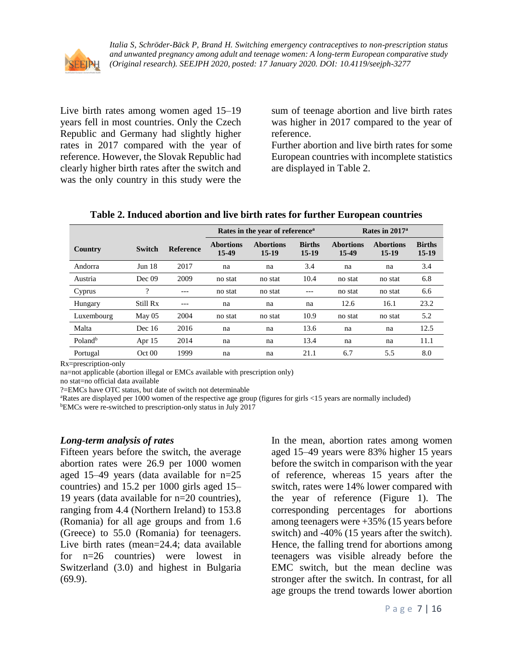

Live birth rates among women aged 15–19 years fell in most countries. Only the Czech Republic and Germany had slightly higher rates in 2017 compared with the year of reference. However, the Slovak Republic had clearly higher birth rates after the switch and was the only country in this study were the sum of teenage abortion and live birth rates was higher in 2017 compared to the year of reference.

Further abortion and live birth rates for some European countries with incomplete statistics are displayed in Table 2.

|                     |                   |                  | Rates in the year of reference <sup>a</sup> |                           |                        | Rates in 2017 <sup>a</sup> |                           |                          |  |
|---------------------|-------------------|------------------|---------------------------------------------|---------------------------|------------------------|----------------------------|---------------------------|--------------------------|--|
| Country             | <b>Switch</b>     | <b>Reference</b> | <b>Abortions</b><br>15-49                   | <b>Abortions</b><br>15-19 | <b>Births</b><br>15-19 | <b>Abortions</b><br>15-49  | <b>Abortions</b><br>15-19 | <b>Births</b><br>$15-19$ |  |
| Andorra             | Jun <sub>18</sub> | 2017             | na                                          | na                        | 3.4                    | na                         | na                        | 3.4                      |  |
| Austria             | Dec 09            | 2009             | no stat                                     | no stat                   | 10.4                   | no stat                    | no stat                   | 6.8                      |  |
| Cyprus              | ?                 |                  | no stat                                     | no stat                   |                        | no stat                    | no stat                   | 6.6                      |  |
| Hungary             | Still Rx          |                  | na                                          | na                        | na                     | 12.6                       | 16.1                      | 23.2                     |  |
| Luxembourg          | $M$ ay 05         | 2004             | no stat                                     | no stat                   | 10.9                   | no stat                    | no stat                   | 5.2                      |  |
| Malta               | Dec $16$          | 2016             | na                                          | na                        | 13.6                   | na                         | na                        | 12.5                     |  |
| Poland <sup>b</sup> | Apr 15            | 2014             | na                                          | na                        | 13.4                   | na                         | na                        | 11.1                     |  |
| Portugal            | Oct 00            | 1999             | na                                          | na                        | 21.1                   | 6.7                        | 5.5                       | 8.0                      |  |

#### **Table 2. Induced abortion and live birth rates for further European countries**

Rx=prescription-only

na=not applicable (abortion illegal or EMCs available with prescription only) no stat=no official data available

?=EMCs have OTC status, but date of switch not determinable

<sup>a</sup>Rates are displayed per 1000 women of the respective age group (figures for girls <15 years are normally included)

<sup>b</sup>EMCs were re-switched to prescription-only status in July 2017

#### *Long-term analysis of rates*

Fifteen years before the switch, the average abortion rates were 26.9 per 1000 women aged 15–49 years (data available for n=25 countries) and 15.2 per 1000 girls aged 15– 19 years (data available for n=20 countries), ranging from 4.4 (Northern Ireland) to 153.8 (Romania) for all age groups and from 1.6 (Greece) to 55.0 (Romania) for teenagers. Live birth rates (mean=24.4; data available for n=26 countries) were lowest in Switzerland (3.0) and highest in Bulgaria (69.9).

In the mean, abortion rates among women aged 15–49 years were 83% higher 15 years before the switch in comparison with the year of reference, whereas 15 years after the switch, rates were 14% lower compared with the year of reference (Figure 1). The corresponding percentages for abortions among teenagers were +35% (15 years before switch) and -40% (15 years after the switch). Hence, the falling trend for abortions among teenagers was visible already before the EMC switch, but the mean decline was stronger after the switch. In contrast, for all age groups the trend towards lower abortion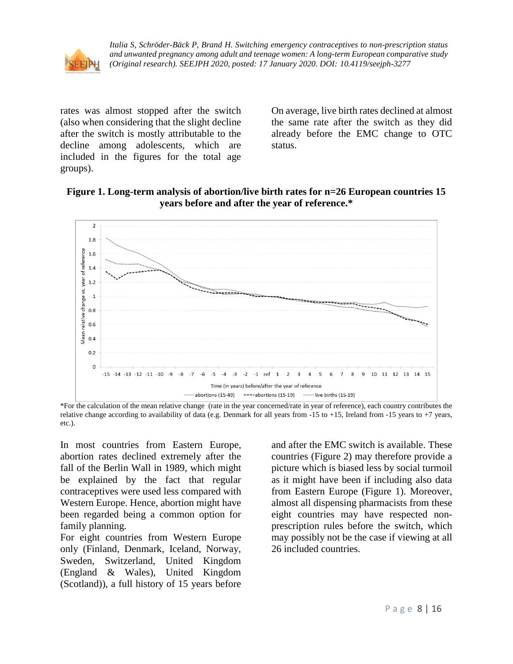

rates was almost stopped after the switch (also when considering that the slight decline after the switch is mostly attributable to the decline among adolescents, which are included in the figures for the total age groups).

On average, live birth rates declined at almost the same rate after the switch as they did already before the EMC change to OTC status.

**Figure 1. Long-term analysis of abortion/live birth rates for n=26 European countries 15 years before and after the year of reference.\***



<sup>\*</sup>For the calculation of the mean relative change (rate in the year concerned/rate in year of reference), each country contributes the relative change according to availability of data (e.g. Denmark for all years from -15 to +15, Ireland from -15 years to +7 years, etc.).

In most countries from Eastern Europe, abortion rates declined extremely after the fall of the Berlin Wall in 1989, which might be explained by the fact that regular contraceptives were used less compared with Western Europe. Hence, abortion might have been regarded being a common option for family planning.

For eight countries from Western Europe only (Finland, Denmark, Iceland, Norway, Sweden, Switzerland, United Kingdom (England & Wales), United Kingdom (Scotland)), a full history of 15 years before

and after the EMC switch is available. These countries (Figure 2) may therefore provide a picture which is biased less by social turmoil as it might have been if including also data from Eastern Europe (Figure 1). Moreover, almost all dispensing pharmacists from these eight countries may have respected nonprescription rules before the switch, which may possibly not be the case if viewing at all 26 included countries.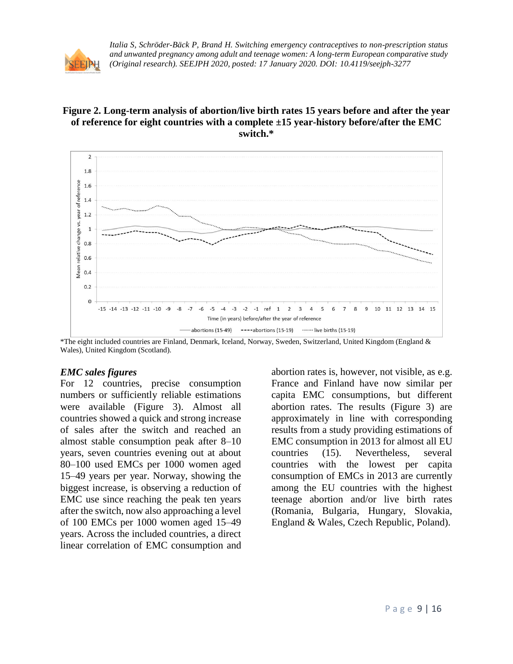

### **Figure 2. Long-term analysis of abortion/live birth rates 15 years before and after the year of reference for eight countries with a complete ±15 year-history before/after the EMC switch.\***



\*The eight included countries are Finland, Denmark, Iceland, Norway, Sweden, Switzerland, United Kingdom (England & Wales), United Kingdom (Scotland).

#### *EMC sales figures*

For 12 countries, precise consumption numbers or sufficiently reliable estimations were available (Figure 3). Almost all countries showed a quick and strong increase of sales after the switch and reached an almost stable consumption peak after 8–10 years, seven countries evening out at about 80–100 used EMCs per 1000 women aged 15–49 years per year. Norway, showing the biggest increase, is observing a reduction of EMC use since reaching the peak ten years after the switch, now also approaching a level of 100 EMCs per 1000 women aged 15–49 years. Across the included countries, a direct linear correlation of EMC consumption and

abortion rates is, however, not visible, as e.g. France and Finland have now similar per capita EMC consumptions, but different abortion rates. The results (Figure 3) are approximately in line with corresponding results from a study providing estimations of EMC consumption in 2013 for almost all EU countries (15). Nevertheless, several countries with the lowest per capita consumption of EMCs in 2013 are currently among the EU countries with the highest teenage abortion and/or live birth rates (Romania, Bulgaria, Hungary, Slovakia, England & Wales, Czech Republic, Poland).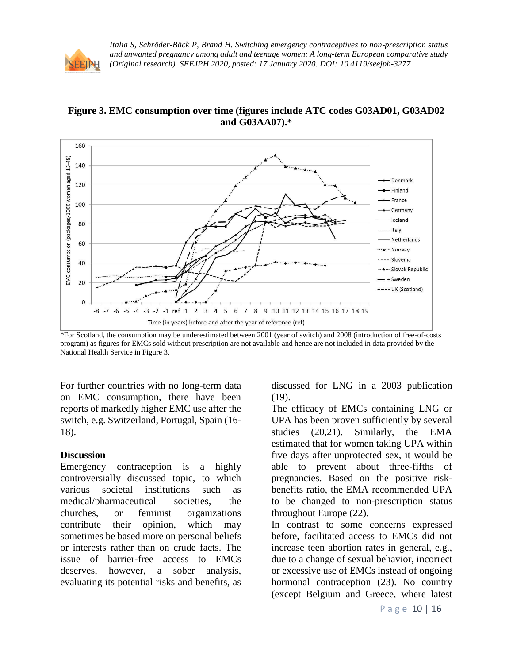

**Figure 3. EMC consumption over time (figures include ATC codes G03AD01, G03AD02 and G03AA07).\***



\*For Scotland, the consumption may be underestimated between 2001 (year of switch) and 2008 (introduction of free-of-costs program) as figures for EMCs sold without prescription are not available and hence are not included in data provided by the National Health Service in Figure 3.

For further countries with no long-term data on EMC consumption, there have been reports of markedly higher EMC use after the switch, e.g. Switzerland, Portugal, Spain (16- 18).

#### **Discussion**

Emergency contraception is a highly controversially discussed topic, to which various societal institutions such as medical/pharmaceutical societies, the churches, or feminist organizations contribute their opinion, which may sometimes be based more on personal beliefs or interests rather than on crude facts. The issue of barrier-free access to EMCs deserves, however, a sober analysis, evaluating its potential risks and benefits, as discussed for LNG in a 2003 publication (19).

The efficacy of EMCs containing LNG or UPA has been proven sufficiently by several studies (20,21). Similarly, the EMA estimated that for women taking UPA within five days after unprotected sex, it would be able to prevent about three-fifths of pregnancies. Based on the positive riskbenefits ratio, the EMA recommended UPA to be changed to non-prescription status throughout Europe (22).

In contrast to some concerns expressed before, facilitated access to EMCs did not increase teen abortion rates in general, e.g., due to a change of sexual behavior, incorrect or excessive use of EMCs instead of ongoing hormonal contraception (23). No country (except Belgium and Greece, where latest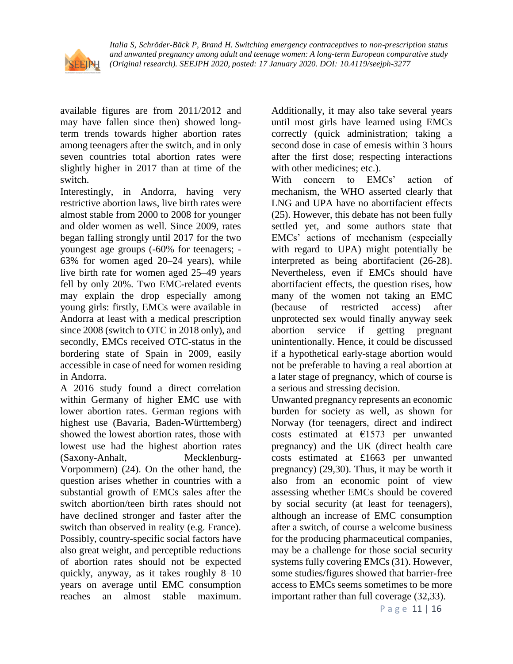

available figures are from 2011/2012 and may have fallen since then) showed longterm trends towards higher abortion rates among teenagers after the switch, and in only seven countries total abortion rates were slightly higher in 2017 than at time of the switch.

Interestingly, in Andorra, having very restrictive abortion laws, live birth rates were almost stable from 2000 to 2008 for younger and older women as well. Since 2009, rates began falling strongly until 2017 for the two youngest age groups (-60% for teenagers; - 63% for women aged 20–24 years), while live birth rate for women aged 25–49 years fell by only 20%. Two EMC-related events may explain the drop especially among young girls: firstly, EMCs were available in Andorra at least with a medical prescription since 2008 (switch to OTC in 2018 only), and secondly, EMCs received OTC-status in the bordering state of Spain in 2009, easily accessible in case of need for women residing in Andorra.

A 2016 study found a direct correlation within Germany of higher EMC use with lower abortion rates. German regions with highest use (Bavaria, Baden-Württemberg) showed the lowest abortion rates, those with lowest use had the highest abortion rates (Saxony-Anhalt, Mecklenburg-Vorpommern) (24). On the other hand, the question arises whether in countries with a substantial growth of EMCs sales after the switch abortion/teen birth rates should not have declined stronger and faster after the switch than observed in reality (e.g. France). Possibly, country-specific social factors have also great weight, and perceptible reductions of abortion rates should not be expected quickly, anyway, as it takes roughly 8–10 years on average until EMC consumption reaches an almost stable maximum.

Additionally, it may also take several years until most girls have learned using EMCs correctly (quick administration; taking a second dose in case of emesis within 3 hours after the first dose; respecting interactions with other medicines; etc.).

With concern to EMCs' action of mechanism, the WHO asserted clearly that LNG and UPA have no abortifacient effects (25). However, this debate has not been fully settled yet, and some authors state that EMCs' actions of mechanism (especially with regard to UPA) might potentially be interpreted as being abortifacient (26-28). Nevertheless, even if EMCs should have abortifacient effects, the question rises, how many of the women not taking an EMC (because of restricted access) after unprotected sex would finally anyway seek abortion service if getting pregnant unintentionally. Hence, it could be discussed if a hypothetical early-stage abortion would not be preferable to having a real abortion at a later stage of pregnancy, which of course is a serious and stressing decision.

Unwanted pregnancy represents an economic burden for society as well, as shown for Norway (for teenagers, direct and indirect costs estimated at  $£1573$  per unwanted pregnancy) and the UK (direct health care costs estimated at £1663 per unwanted pregnancy) (29,30). Thus, it may be worth it also from an economic point of view assessing whether EMCs should be covered by social security (at least for teenagers), although an increase of EMC consumption after a switch, of course a welcome business for the producing pharmaceutical companies, may be a challenge for those social security systems fully covering EMCs (31). However, some studies/figures showed that barrier-free access to EMCs seems sometimes to be more important rather than full coverage (32,33).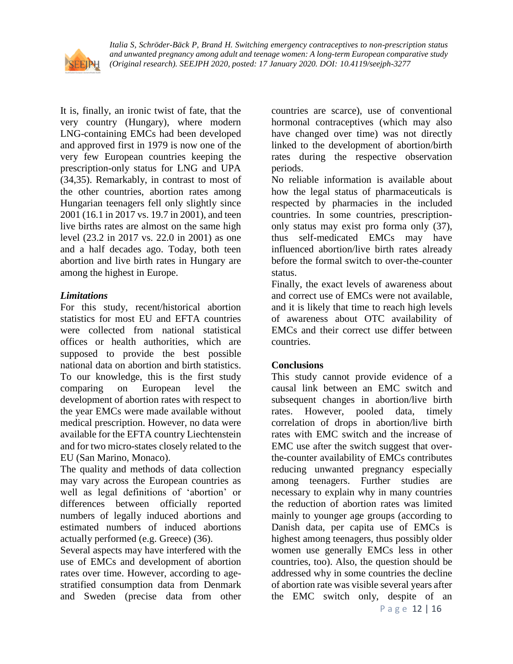

It is, finally, an ironic twist of fate, that the very country (Hungary), where modern LNG-containing EMCs had been developed and approved first in 1979 is now one of the very few European countries keeping the prescription-only status for LNG and UPA (34,35). Remarkably, in contrast to most of the other countries, abortion rates among Hungarian teenagers fell only slightly since 2001 (16.1 in 2017 vs. 19.7 in 2001), and teen live births rates are almost on the same high level (23.2 in 2017 vs. 22.0 in 2001) as one and a half decades ago. Today, both teen abortion and live birth rates in Hungary are among the highest in Europe.

## *Limitations*

For this study, recent/historical abortion statistics for most EU and EFTA countries were collected from national statistical offices or health authorities, which are supposed to provide the best possible national data on abortion and birth statistics. To our knowledge, this is the first study comparing on European level the development of abortion rates with respect to the year EMCs were made available without medical prescription. However, no data were available for the EFTA country Liechtenstein and for two micro-states closely related to the EU (San Marino, Monaco).

The quality and methods of data collection may vary across the European countries as well as legal definitions of 'abortion' or differences between officially reported numbers of legally induced abortions and estimated numbers of induced abortions actually performed (e.g. Greece) (36).

Several aspects may have interfered with the use of EMCs and development of abortion rates over time. However, according to agestratified consumption data from Denmark and Sweden (precise data from other countries are scarce), use of conventional hormonal contraceptives (which may also have changed over time) was not directly linked to the development of abortion/birth rates during the respective observation periods.

No reliable information is available about how the legal status of pharmaceuticals is respected by pharmacies in the included countries. In some countries, prescriptiononly status may exist pro forma only (37), thus self-medicated EMCs may have influenced abortion/live birth rates already before the formal switch to over-the-counter status.

Finally, the exact levels of awareness about and correct use of EMCs were not available, and it is likely that time to reach high levels of awareness about OTC availability of EMCs and their correct use differ between countries.

# **Conclusions**

This study cannot provide evidence of a causal link between an EMC switch and subsequent changes in abortion/live birth rates. However, pooled data, timely correlation of drops in abortion/live birth rates with EMC switch and the increase of EMC use after the switch suggest that overthe-counter availability of EMCs contributes reducing unwanted pregnancy especially among teenagers. Further studies are necessary to explain why in many countries the reduction of abortion rates was limited mainly to younger age groups (according to Danish data, per capita use of EMCs is highest among teenagers, thus possibly older women use generally EMCs less in other countries, too). Also, the question should be addressed why in some countries the decline of abortion rate was visible several years after the EMC switch only, despite of an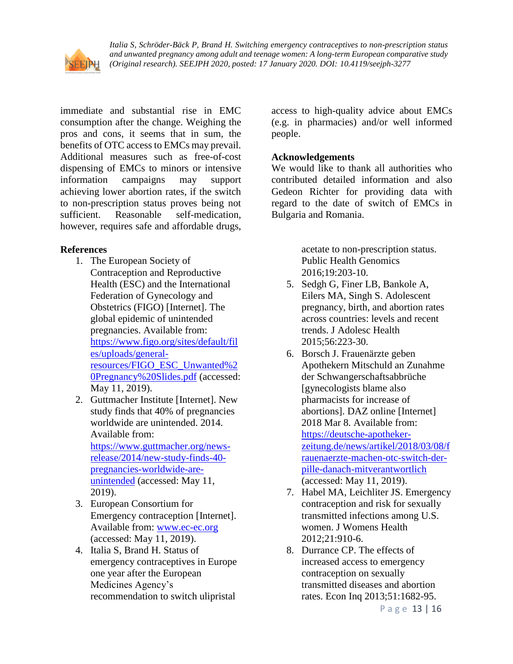

immediate and substantial rise in EMC consumption after the change. Weighing the pros and cons, it seems that in sum, the benefits of OTC access to EMCs may prevail. Additional measures such as free-of-cost dispensing of EMCs to minors or intensive information campaigns may support achieving lower abortion rates, if the switch to non-prescription status proves being not sufficient. Reasonable self-medication, however, requires safe and affordable drugs,

### **References**

- 1. The European Society of Contraception and Reproductive Health (ESC) and the International Federation of Gynecology and Obstetrics (FIGO) [Internet]. The global epidemic of unintended pregnancies. Available from: [https://www.figo.org/sites/default/fil](https://www.figo.org/sites/default/files/uploads/general-resources/FIGO_ESC_Unwanted%20Pregnancy%20Slides.pdf) [es/uploads/general](https://www.figo.org/sites/default/files/uploads/general-resources/FIGO_ESC_Unwanted%20Pregnancy%20Slides.pdf)[resources/FIGO\\_ESC\\_Unwanted%2](https://www.figo.org/sites/default/files/uploads/general-resources/FIGO_ESC_Unwanted%20Pregnancy%20Slides.pdf) [0Pregnancy%20Slides.pdf](https://www.figo.org/sites/default/files/uploads/general-resources/FIGO_ESC_Unwanted%20Pregnancy%20Slides.pdf) (accessed: May 11, 2019).
- 2. Guttmacher Institute [Internet]. New study finds that 40% of pregnancies worldwide are unintended. 2014. Available from: [https://www.guttmacher.org/news](https://www.guttmacher.org/news-release/2014/new-study-finds-40-pregnancies-worldwide-are-unintended)[release/2014/new-study-finds-40](https://www.guttmacher.org/news-release/2014/new-study-finds-40-pregnancies-worldwide-are-unintended) [pregnancies-worldwide-are](https://www.guttmacher.org/news-release/2014/new-study-finds-40-pregnancies-worldwide-are-unintended)[unintended](https://www.guttmacher.org/news-release/2014/new-study-finds-40-pregnancies-worldwide-are-unintended) (accessed: May 11, 2019).
- 3. European Consortium for Emergency contraception [Internet]. Available from: [www.ec-ec.org](http://www.ec-ec.org/) (accessed: May 11, 2019).
- 4. Italia S, Brand H. Status of emergency contraceptives in Europe one year after the European Medicines Agency's recommendation to switch ulipristal

access to high-quality advice about EMCs (e.g. in pharmacies) and/or well informed people.

### **Acknowledgements**

We would like to thank all authorities who contributed detailed information and also Gedeon Richter for providing data with regard to the date of switch of EMCs in Bulgaria and Romania.

> acetate to non-prescription status. Public Health Genomics 2016;19:203-10.

- 5. Sedgh G, Finer LB, Bankole A, Eilers MA, Singh S. Adolescent pregnancy, birth, and abortion rates across countries: levels and recent trends. J Adolesc Health 2015;56:223-30.
- 6. Borsch J. Frauenärzte geben Apothekern Mitschuld an Zunahme der Schwangerschaftsabbrüche [gynecologists blame also pharmacists for increase of abortions]. DAZ online [Internet] 2018 Mar 8. Available from: [https://deutsche-apotheker](https://deutsche-apotheker-zeitung.de/news/artikel/2018/03/08/frauenaerzte-machen-otc-switch-der-pille-danach-mitverantwortlich)[zeitung.de/news/artikel/2018/03/08/f](https://deutsche-apotheker-zeitung.de/news/artikel/2018/03/08/frauenaerzte-machen-otc-switch-der-pille-danach-mitverantwortlich) [rauenaerzte-machen-otc-switch-der](https://deutsche-apotheker-zeitung.de/news/artikel/2018/03/08/frauenaerzte-machen-otc-switch-der-pille-danach-mitverantwortlich)[pille-danach-mitverantwortlich](https://deutsche-apotheker-zeitung.de/news/artikel/2018/03/08/frauenaerzte-machen-otc-switch-der-pille-danach-mitverantwortlich) (accessed: May 11, 2019).
- 7. Habel MA, Leichliter JS. Emergency contraception and risk for sexually transmitted infections among U.S. women. J Womens Health 2012;21:910-6.
- 8. Durrance CP. The effects of increased access to emergency contraception on sexually transmitted diseases and abortion rates. Econ Inq 2013;51:1682-95.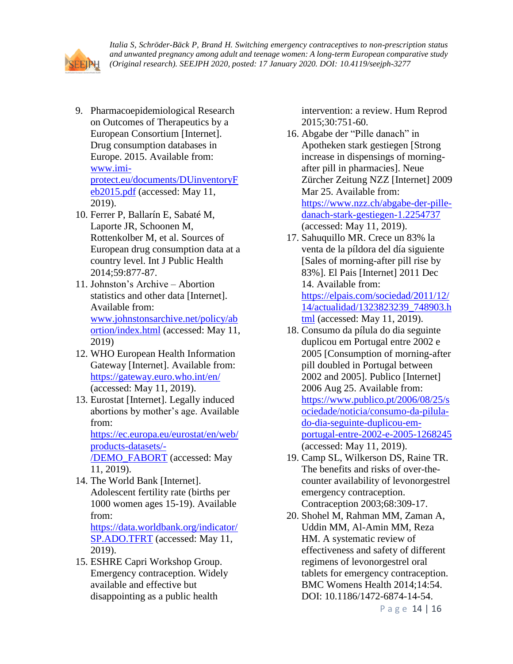

- 9. Pharmacoepidemiological Research on Outcomes of Therapeutics by a European Consortium [Internet]. Drug consumption databases in Europe. 2015. Available from: [www.imi](http://www.imi-protect.eu/documents/DUinventoryFeb2015.pdf)[protect.eu/documents/DUinventoryF](http://www.imi-protect.eu/documents/DUinventoryFeb2015.pdf) [eb2015.pdf](http://www.imi-protect.eu/documents/DUinventoryFeb2015.pdf) (accessed: May 11, 2019).
- 10. Ferrer P, Ballarín E, Sabaté M, Laporte JR, Schoonen M, Rottenkolber M, et al. Sources of European drug consumption data at a country level. Int J Public Health 2014;59:877-87.
- 11. Johnston's Archive Abortion statistics and other data [Internet]. Available from: [www.johnstonsarchive.net/policy/ab](http://www.johnstonsarchive.net/policy/abortion/index.html) [ortion/index.html](http://www.johnstonsarchive.net/policy/abortion/index.html) (accessed: May 11, 2019)
- 12. WHO European Health Information Gateway [Internet]. Available from: <https://gateway.euro.who.int/en/> (accessed: May 11, 2019).
- 13. Eurostat [Internet]. Legally induced abortions by mother's age. Available from: [https://ec.europa.eu/eurostat/en/web/](https://ec.europa.eu/eurostat/en/web/products-datasets/-/DEMO_FABORT) [products-datasets/-](https://ec.europa.eu/eurostat/en/web/products-datasets/-/DEMO_FABORT) [/DEMO\\_FABORT](https://ec.europa.eu/eurostat/en/web/products-datasets/-/DEMO_FABORT) (accessed: May 11, 2019).
- 14. The World Bank [Internet]. Adolescent fertility rate (births per 1000 women ages 15-19). Available from: [https://data.worldbank.org/indicator/](https://data.worldbank.org/indicator/SP.ADO.TFRT) [SP.ADO.TFRT](https://data.worldbank.org/indicator/SP.ADO.TFRT) (accessed: May 11, 2019).
- 15. ESHRE Capri Workshop Group. Emergency contraception. Widely available and effective but disappointing as a public health

intervention: a review. Hum Reprod 2015;30:751-60.

- 16. Abgabe der "Pille danach" in Apotheken stark gestiegen [Strong increase in dispensings of morningafter pill in pharmacies]. Neue Zürcher Zeitung NZZ [Internet] 2009 Mar 25. Available from: [https://www.nzz.ch/abgabe-der-pille](https://www.nzz.ch/abgabe-der-pille-danach-stark-gestiegen-1.2254737)[danach-stark-gestiegen-1.2254737](https://www.nzz.ch/abgabe-der-pille-danach-stark-gestiegen-1.2254737) (accessed: May 11, 2019).
- 17. Sahuquillo MR. Crece un 83% la venta de la píldora del día siguiente [Sales of morning-after pill rise by 83%]. El Pais [Internet] 2011 Dec 14. Available from: [https://elpais.com/sociedad/2011/12/](https://elpais.com/sociedad/2011/12/14/actualidad/1323823239_748903.html) [14/actualidad/1323823239\\_748903.h](https://elpais.com/sociedad/2011/12/14/actualidad/1323823239_748903.html) [tml](https://elpais.com/sociedad/2011/12/14/actualidad/1323823239_748903.html) (accessed: May 11, 2019).
- 18. Consumo da pílula do dia seguinte duplicou em Portugal entre 2002 e 2005 [Consumption of morning-after pill doubled in Portugal between 2002 and 2005]. Publico [Internet] 2006 Aug 25. Available from: [https://www.publico.pt/2006/08/25/s](https://www.publico.pt/2006/08/25/sociedade/noticia/consumo-da-pilula-do-dia-seguinte-duplicou-em-portugal-entre-2002-e-2005-1268245) [ociedade/noticia/consumo-da-pilula](https://www.publico.pt/2006/08/25/sociedade/noticia/consumo-da-pilula-do-dia-seguinte-duplicou-em-portugal-entre-2002-e-2005-1268245)[do-dia-seguinte-duplicou-em](https://www.publico.pt/2006/08/25/sociedade/noticia/consumo-da-pilula-do-dia-seguinte-duplicou-em-portugal-entre-2002-e-2005-1268245)[portugal-entre-2002-e-2005-1268245](https://www.publico.pt/2006/08/25/sociedade/noticia/consumo-da-pilula-do-dia-seguinte-duplicou-em-portugal-entre-2002-e-2005-1268245) (accessed: May 11, 2019).
- 19. Camp SL, Wilkerson DS, Raine TR. The benefits and risks of over-thecounter availability of levonorgestrel emergency contraception. Contraception 2003;68:309-17.
- 20. Shohel M, Rahman MM, Zaman A, Uddin MM, Al-Amin MM, Reza HM. A systematic review of effectiveness and safety of different regimens of levonorgestrel oral tablets for emergency contraception. BMC Womens Health 2014;14:54. DOI: 10.1186/1472-6874-14-54.

P a g e 14 | 16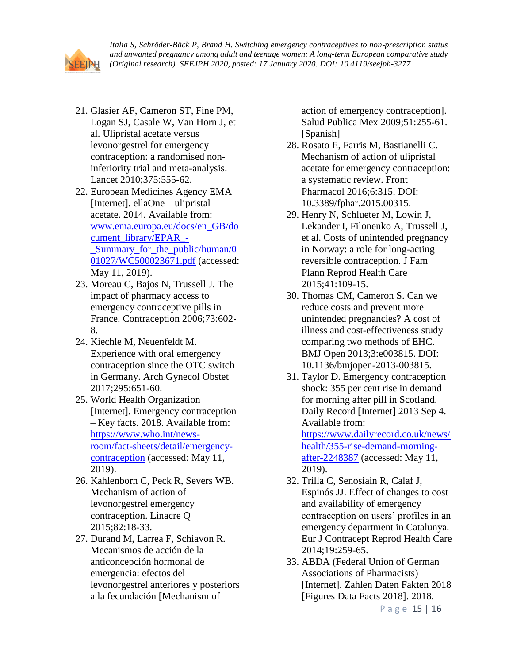

- 21. Glasier AF, Cameron ST, Fine PM, Logan SJ, Casale W, Van Horn J, et al. Ulipristal acetate versus levonorgestrel for emergency contraception: a randomised noninferiority trial and meta-analysis. Lancet 2010;375:555-62.
- 22. European Medicines Agency EMA [Internet]. ellaOne – ulipristal acetate. 2014. Available from: [www.ema.europa.eu/docs/en\\_GB/do](http://www.ema.europa.eu/docs/en_GB/document_library/EPAR_-_Summary_for_the_public/human/001027/WC500023671.pdf) [cument\\_library/EPAR\\_-](http://www.ema.europa.eu/docs/en_GB/document_library/EPAR_-_Summary_for_the_public/human/001027/WC500023671.pdf) Summary for the public/human/0 [01027/WC500023671.pdf](http://www.ema.europa.eu/docs/en_GB/document_library/EPAR_-_Summary_for_the_public/human/001027/WC500023671.pdf) (accessed: May 11, 2019).
- 23. Moreau C, Bajos N, Trussell J. The impact of pharmacy access to emergency contraceptive pills in France. Contraception 2006;73:602- 8.
- 24. Kiechle M, Neuenfeldt M. Experience with oral emergency contraception since the OTC switch in Germany. Arch Gynecol Obstet 2017;295:651-60.
- 25. World Health Organization [Internet]. Emergency contraception – Key facts. 2018. Available from: [https://www.who.int/news](https://www.who.int/news-room/fact-sheets/detail/emergency-contraception)[room/fact-sheets/detail/emergency](https://www.who.int/news-room/fact-sheets/detail/emergency-contraception)[contraception](https://www.who.int/news-room/fact-sheets/detail/emergency-contraception) (accessed: May 11, 2019).
- 26. Kahlenborn C, Peck R, Severs WB. Mechanism of action of levonorgestrel emergency contraception. Linacre Q 2015;82:18-33.
- 27. Durand M, Larrea F, Schiavon R. Mecanismos de acción de la anticoncepción hormonal de emergencia: efectos del levonorgestrel anteriores y posteriors a la fecundación [Mechanism of

action of emergency contraception]. Salud Publica Mex 2009;51:255-61. [Spanish]

- 28. Rosato E, Farris M, Bastianelli C. Mechanism of action of ulipristal acetate for emergency contraception: a systematic review. Front Pharmacol 2016;6:315. DOI: 10.3389/fphar.2015.00315.
- 29. Henry N, Schlueter M, Lowin J, Lekander I, Filonenko A, Trussell J, et al. Costs of unintended pregnancy in Norway: a role for long-acting reversible contraception. J Fam Plann Reprod Health Care 2015;41:109-15.
- 30. Thomas CM, Cameron S. Can we reduce costs and prevent more unintended pregnancies? A cost of illness and cost-effectiveness study comparing two methods of EHC. BMJ Open 2013;3:e003815. DOI: 10.1136/bmjopen-2013-003815.
- 31. Taylor D. Emergency contraception shock: 355 per cent rise in demand for morning after pill in Scotland. Daily Record [Internet] 2013 Sep 4. Available from: [https://www.dailyrecord.co.uk/news/](https://www.dailyrecord.co.uk/news/health/355-rise-demand-morning-after-2248387) [health/355-rise-demand-morning](https://www.dailyrecord.co.uk/news/health/355-rise-demand-morning-after-2248387)[after-2248387](https://www.dailyrecord.co.uk/news/health/355-rise-demand-morning-after-2248387) (accessed: May 11, 2019).
- 32. Trilla C, Senosiain R, Calaf J, Espinós JJ. Effect of changes to cost and availability of emergency contraception on users' profiles in an emergency department in Catalunya. Eur J Contracept Reprod Health Care 2014;19:259-65.
- 33. ABDA (Federal Union of German Associations of Pharmacists) [Internet]. Zahlen Daten Fakten 2018 [Figures Data Facts 2018]. 2018.

P a g e 15 | 16